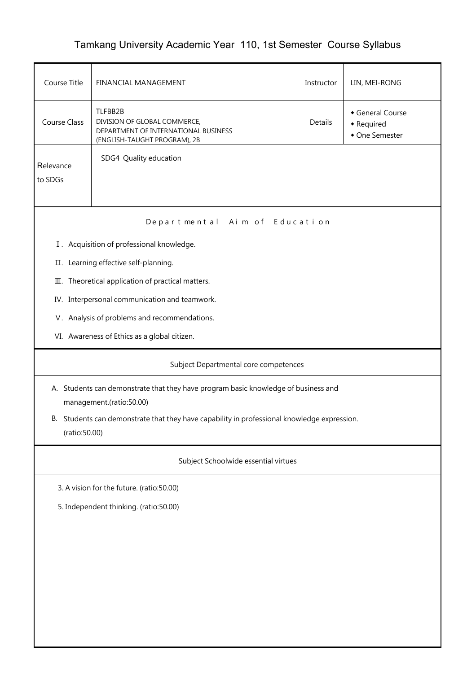## Tamkang University Academic Year 110, 1st Semester Course Syllabus

| Course Title                                                                                                    | FINANCIAL MANAGEMENT                                                                                                                                                         | Instructor | LIN, MEI-RONG |  |  |  |  |  |
|-----------------------------------------------------------------------------------------------------------------|------------------------------------------------------------------------------------------------------------------------------------------------------------------------------|------------|---------------|--|--|--|--|--|
| <b>Course Class</b>                                                                                             | TLFBB2B<br>General Course<br>DIVISION OF GLOBAL COMMERCE,<br>Details<br>• Required<br>DEPARTMENT OF INTERNATIONAL BUSINESS<br>• One Semester<br>(ENGLISH-TAUGHT PROGRAM), 2B |            |               |  |  |  |  |  |
| SDG4 Quality education<br>Relevance<br>to SDGs                                                                  |                                                                                                                                                                              |            |               |  |  |  |  |  |
|                                                                                                                 | Departmental Aim of Education                                                                                                                                                |            |               |  |  |  |  |  |
|                                                                                                                 | I. Acquisition of professional knowledge.                                                                                                                                    |            |               |  |  |  |  |  |
|                                                                                                                 | II. Learning effective self-planning.                                                                                                                                        |            |               |  |  |  |  |  |
|                                                                                                                 | III. Theoretical application of practical matters.                                                                                                                           |            |               |  |  |  |  |  |
|                                                                                                                 | IV. Interpersonal communication and teamwork.                                                                                                                                |            |               |  |  |  |  |  |
|                                                                                                                 | V. Analysis of problems and recommendations.                                                                                                                                 |            |               |  |  |  |  |  |
|                                                                                                                 | VI. Awareness of Ethics as a global citizen.                                                                                                                                 |            |               |  |  |  |  |  |
|                                                                                                                 | Subject Departmental core competences                                                                                                                                        |            |               |  |  |  |  |  |
| A. Students can demonstrate that they have program basic knowledge of business and<br>management.(ratio:50.00)  |                                                                                                                                                                              |            |               |  |  |  |  |  |
| Students can demonstrate that they have capability in professional knowledge expression.<br>В.<br>(ratio:50.00) |                                                                                                                                                                              |            |               |  |  |  |  |  |
| Subject Schoolwide essential virtues                                                                            |                                                                                                                                                                              |            |               |  |  |  |  |  |
| 3. A vision for the future. (ratio:50.00)                                                                       |                                                                                                                                                                              |            |               |  |  |  |  |  |
| 5. Independent thinking. (ratio:50.00)                                                                          |                                                                                                                                                                              |            |               |  |  |  |  |  |
|                                                                                                                 |                                                                                                                                                                              |            |               |  |  |  |  |  |
|                                                                                                                 |                                                                                                                                                                              |            |               |  |  |  |  |  |
|                                                                                                                 |                                                                                                                                                                              |            |               |  |  |  |  |  |
|                                                                                                                 |                                                                                                                                                                              |            |               |  |  |  |  |  |
|                                                                                                                 |                                                                                                                                                                              |            |               |  |  |  |  |  |
|                                                                                                                 |                                                                                                                                                                              |            |               |  |  |  |  |  |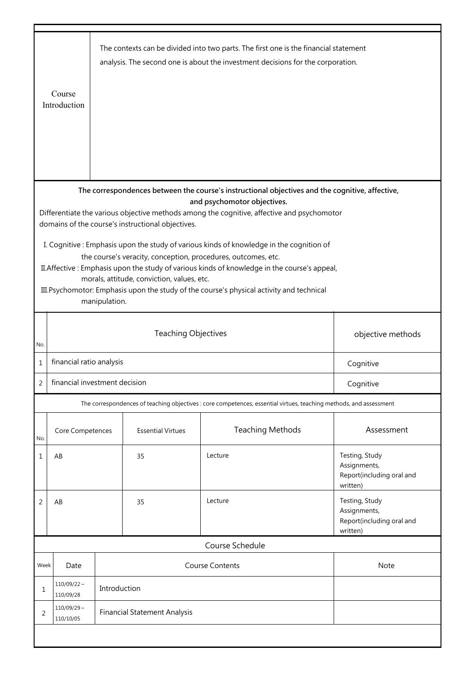|                                                                                                                                | Course<br>Introduction        |                                       |                                                   | The contexts can be divided into two parts. The first one is the financial statement<br>analysis. The second one is about the investment decisions for the corporation. |                                           |  |
|--------------------------------------------------------------------------------------------------------------------------------|-------------------------------|---------------------------------------|---------------------------------------------------|-------------------------------------------------------------------------------------------------------------------------------------------------------------------------|-------------------------------------------|--|
|                                                                                                                                |                               |                                       |                                                   |                                                                                                                                                                         |                                           |  |
| The correspondences between the course's instructional objectives and the cognitive, affective,<br>and psychomotor objectives. |                               |                                       |                                                   |                                                                                                                                                                         |                                           |  |
|                                                                                                                                |                               |                                       |                                                   | Differentiate the various objective methods among the cognitive, affective and psychomotor                                                                              |                                           |  |
|                                                                                                                                |                               |                                       | domains of the course's instructional objectives. |                                                                                                                                                                         |                                           |  |
|                                                                                                                                |                               |                                       |                                                   | I. Cognitive: Emphasis upon the study of various kinds of knowledge in the cognition of                                                                                 |                                           |  |
|                                                                                                                                |                               |                                       |                                                   | the course's veracity, conception, procedures, outcomes, etc.                                                                                                           |                                           |  |
|                                                                                                                                |                               |                                       | morals, attitude, conviction, values, etc.        | II. Affective: Emphasis upon the study of various kinds of knowledge in the course's appeal,                                                                            |                                           |  |
|                                                                                                                                |                               |                                       |                                                   | III. Psychomotor: Emphasis upon the study of the course's physical activity and technical                                                                               |                                           |  |
|                                                                                                                                |                               | manipulation.                         |                                                   |                                                                                                                                                                         |                                           |  |
|                                                                                                                                |                               |                                       |                                                   |                                                                                                                                                                         |                                           |  |
|                                                                                                                                |                               |                                       | <b>Teaching Objectives</b>                        |                                                                                                                                                                         | objective methods                         |  |
| No.                                                                                                                            |                               |                                       |                                                   |                                                                                                                                                                         |                                           |  |
| 1                                                                                                                              |                               | financial ratio analysis<br>Cognitive |                                                   |                                                                                                                                                                         |                                           |  |
| $\mathcal{P}$                                                                                                                  | financial investment decision |                                       |                                                   |                                                                                                                                                                         | Cognitive                                 |  |
|                                                                                                                                |                               |                                       |                                                   | The correspondences of teaching objectives : core competences, essential virtues, teaching methods, and assessment                                                      |                                           |  |
| No.                                                                                                                            | Core Competences              |                                       | <b>Essential Virtues</b>                          | <b>Teaching Methods</b>                                                                                                                                                 | Assessment                                |  |
| $\mathbf{1}$                                                                                                                   | AB                            |                                       | 35                                                | Lecture                                                                                                                                                                 | Testing, Study                            |  |
|                                                                                                                                |                               |                                       |                                                   |                                                                                                                                                                         | Assignments,                              |  |
|                                                                                                                                |                               |                                       |                                                   |                                                                                                                                                                         | Report(including oral and<br>written)     |  |
| 2                                                                                                                              | AB                            |                                       | 35                                                | Lecture                                                                                                                                                                 | Testing, Study                            |  |
|                                                                                                                                |                               |                                       |                                                   |                                                                                                                                                                         | Assignments,<br>Report(including oral and |  |
|                                                                                                                                |                               |                                       |                                                   |                                                                                                                                                                         | written)                                  |  |
|                                                                                                                                |                               |                                       |                                                   | Course Schedule                                                                                                                                                         |                                           |  |
| Week                                                                                                                           | Date                          |                                       |                                                   | <b>Course Contents</b>                                                                                                                                                  | Note                                      |  |
| 1                                                                                                                              | $110/09/22 \sim$<br>110/09/28 | Introduction                          |                                                   |                                                                                                                                                                         |                                           |  |
| 2                                                                                                                              | $110/09/29$ ~<br>110/10/05    | <b>Financial Statement Analysis</b>   |                                                   |                                                                                                                                                                         |                                           |  |
|                                                                                                                                |                               |                                       |                                                   |                                                                                                                                                                         |                                           |  |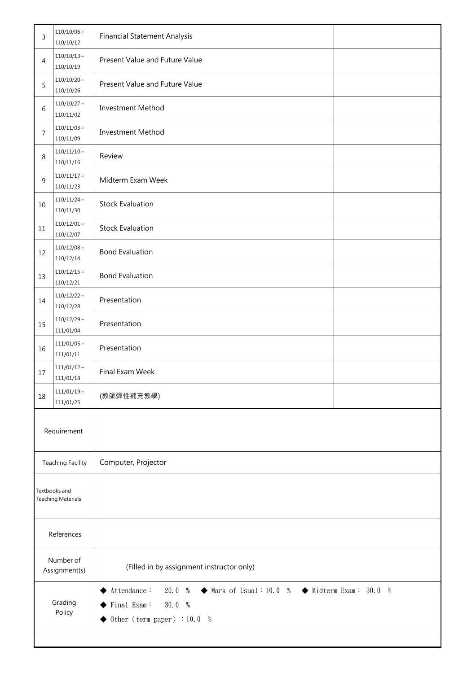| 3                                          | $110/10/06\sim$<br>110/10/12  | <b>Financial Statement Analysis</b>                                                                                                                                                                                                     |  |
|--------------------------------------------|-------------------------------|-----------------------------------------------------------------------------------------------------------------------------------------------------------------------------------------------------------------------------------------|--|
| 4                                          | $110/10/13 \sim$<br>110/10/19 | Present Value and Future Value                                                                                                                                                                                                          |  |
| 5                                          | $110/10/20$ ~<br>110/10/26    | Present Value and Future Value                                                                                                                                                                                                          |  |
| 6                                          | $110/10/27$ ~<br>110/11/02    | Investment Method                                                                                                                                                                                                                       |  |
| 7                                          | $110/11/03$ ~<br>110/11/09    | <b>Investment Method</b>                                                                                                                                                                                                                |  |
| 8                                          | $110/11/10 \sim$<br>110/11/16 | Review                                                                                                                                                                                                                                  |  |
| 9                                          | $110/11/17$ ~<br>110/11/23    | Midterm Exam Week                                                                                                                                                                                                                       |  |
| 10                                         | $110/11/24$ ~<br>110/11/30    | <b>Stock Evaluation</b>                                                                                                                                                                                                                 |  |
| 11                                         | $110/12/01 \sim$<br>110/12/07 | <b>Stock Evaluation</b>                                                                                                                                                                                                                 |  |
| 12                                         | $110/12/08 \sim$<br>110/12/14 | <b>Bond Evaluation</b>                                                                                                                                                                                                                  |  |
| 13                                         | $110/12/15 \sim$<br>110/12/21 | <b>Bond Evaluation</b>                                                                                                                                                                                                                  |  |
| 14                                         | $110/12/22$ ~<br>110/12/28    | Presentation                                                                                                                                                                                                                            |  |
| 15                                         | $110/12/29 \sim$<br>111/01/04 | Presentation                                                                                                                                                                                                                            |  |
| 16                                         | $111/01/05$ ~<br>111/01/11    | Presentation                                                                                                                                                                                                                            |  |
| 17                                         | $111/01/12$ ~<br>111/01/18    | Final Exam Week                                                                                                                                                                                                                         |  |
| 18                                         | $111/01/19 \sim$<br>111/01/25 | (教師彈性補充教學)                                                                                                                                                                                                                              |  |
|                                            | Requirement                   |                                                                                                                                                                                                                                         |  |
| <b>Teaching Facility</b>                   |                               | Computer, Projector                                                                                                                                                                                                                     |  |
| Textbooks and<br><b>Teaching Materials</b> |                               |                                                                                                                                                                                                                                         |  |
| References                                 |                               |                                                                                                                                                                                                                                         |  |
| Number of<br>Assignment(s)                 |                               | (Filled in by assignment instructor only)                                                                                                                                                                                               |  |
| Grading<br>Policy                          |                               | $\blacklozenge$ Attendance :<br>20.0 %<br>$\blacklozenge$ Mark of Usual : 10.0 %<br>$\blacklozenge$ Midterm Exam: 30.0 %<br>30.0%<br>$\blacktriangleright$ Final Exam:<br>$\blacklozenge$ Other $\langle$ term paper $\rangle$ : 10.0 % |  |
|                                            |                               |                                                                                                                                                                                                                                         |  |